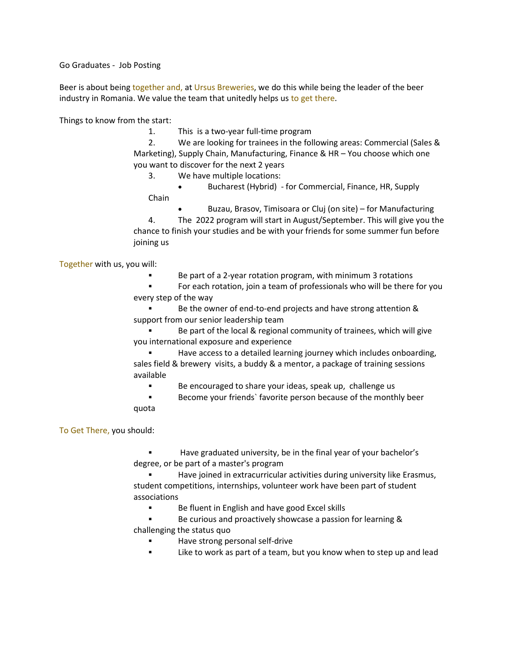Go Graduates - Job Posting

Beer is about being together and, at Ursus Breweries, we do this while being the leader of the beer industry in Romania. We value the team that unitedly helps us to get there.

Things to know from the start:

1. This is a two-year full-time program

2. We are looking for trainees in the following areas: Commercial (Sales & Marketing), Supply Chain, Manufacturing, Finance & HR – You choose which one you want to discover for the next 2 years

3. We have multiple locations:

• Bucharest (Hybrid)  - for Commercial, Finance, HR, Supply Chain

• Buzau, Brasov, Timisoara or Cluj (on site) – for Manufacturing

4. The 2022 program will start in August/September. This will give you the chance to finish your studies and be with your friends for some summer fun before joining us

Together with us, you will:

Be part of a 2-year rotation program, with minimum 3 rotations

▪ For each rotation, join a team of professionals who will be there for you every step of the way

Be the owner of end-to-end projects and have strong attention & support from our senior leadership team

Be part of the local & regional community of trainees, which will give you international exposure and experience

Have access to a detailed learning journey which includes onboarding, sales field & brewery visits, a buddy & a mentor, a package of training sessions available

▪ Be encouraged to share your ideas, speak up, challenge us

Become your friends` favorite person because of the monthly beer quota

To Get There, you should:

Have graduated university, be in the final year of your bachelor's degree, or be part of a master's program

Have joined in extracurricular activities during university like Erasmus, student competitions, internships, volunteer work have been part of student associations

■ Be fluent in English and have good Excel skills

Be curious and proactively showcase a passion for learning & challenging the status quo

- Have strong personal self-drive
- Like to work as part of a team, but you know when to step up and lead